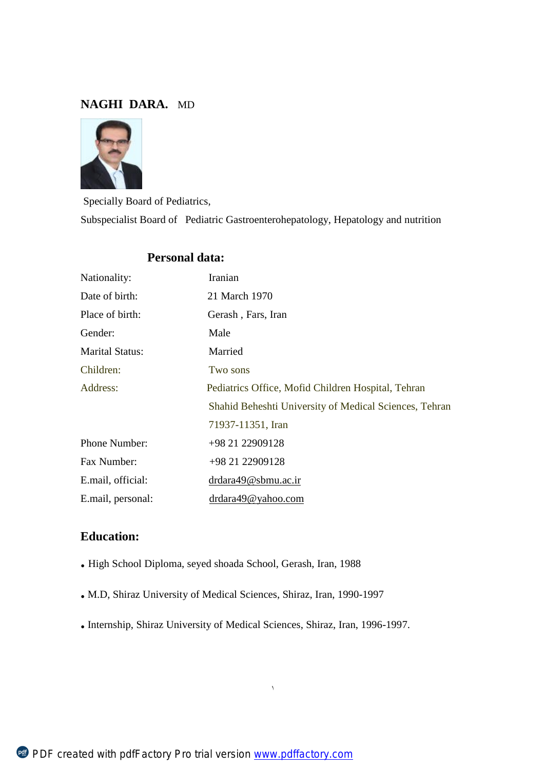# **NAGHI DARA.** MD



Specially Board of Pediatrics, Subspecialist Board of Pediatric Gastroenterohepatology, Hepatology and nutrition

# Nationality: Iranian Date of birth: 21 March 1970 Place of birth: Gerash, Fars, Iran Gender: Male Marital Status: Married Children: Two sons Address: Pediatrics Office, Mofid Children Hospital, Tehran Shahid Beheshti University of Medical Sciences, Tehran 71937-11351, Iran Phone Number: +98 21 22909128 Fax Number: +98 21 22909128 E.mail, official: [drdara49@sbmu.ac.ir](mailto:drdara49@sbmu.ac.ir) E.mail, personal: [drdara49@yahoo.com](mailto:drdara49@yahoo.com)

# **Personal data:**

# **Education:**

- **.** High School Diploma, seyed shoada School, Gerash, Iran, 1988
- **.** M.D, Shiraz University of Medical Sciences, Shiraz, Iran, 1990-1997
- **.** Internship, Shiraz University of Medical Sciences, Shiraz, Iran, 1996-1997.

١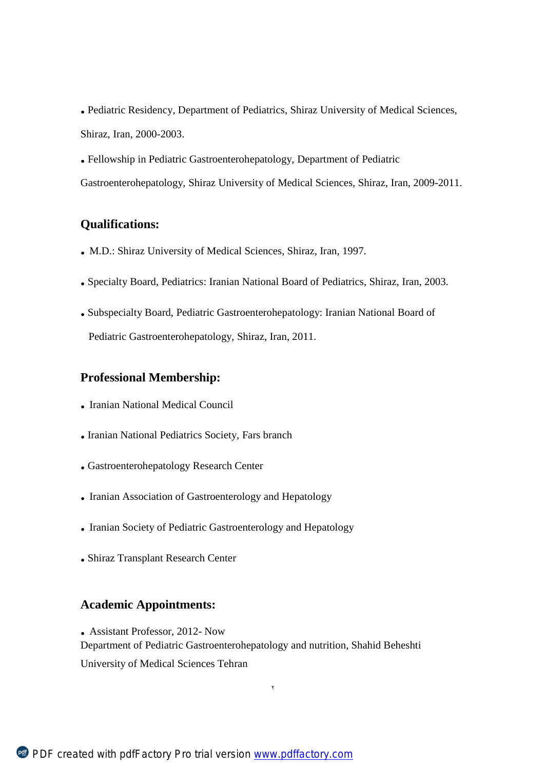- **.** Pediatric Residency, Department of Pediatrics, Shiraz University of Medical Sciences, Shiraz, Iran, 2000-2003.
- **.** Fellowship in Pediatric Gastroenterohepatology, Department of Pediatric
- Gastroenterohepatology, Shiraz University of Medical Sciences, Shiraz, Iran, 2009-2011.

# **Qualifications:**

- **.** M.D.: Shiraz University of Medical Sciences, Shiraz, Iran, 1997.
- **.** Specialty Board, Pediatrics: Iranian National Board of Pediatrics, Shiraz, Iran, 2003.
- **.** Subspecialty Board, Pediatric Gastroenterohepatology: Iranian National Board of Pediatric Gastroenterohepatology, Shiraz, Iran, 2011.

# **Professional Membership:**

- **.** Iranian National Medical Council
- **.** Iranian National Pediatrics Society, Fars branch
- **.** Gastroenterohepatology Research Center
- **.** Iranian Association of Gastroenterology and Hepatology
- **.** Iranian Society of Pediatric Gastroenterology and Hepatology
- **.** Shiraz Transplant Research Center

# **Academic Appointments:**

**.** Assistant Professor, 2012- Now Department of Pediatric Gastroenterohepatology and nutrition, Shahid Beheshti University of Medical Sciences Tehran

٢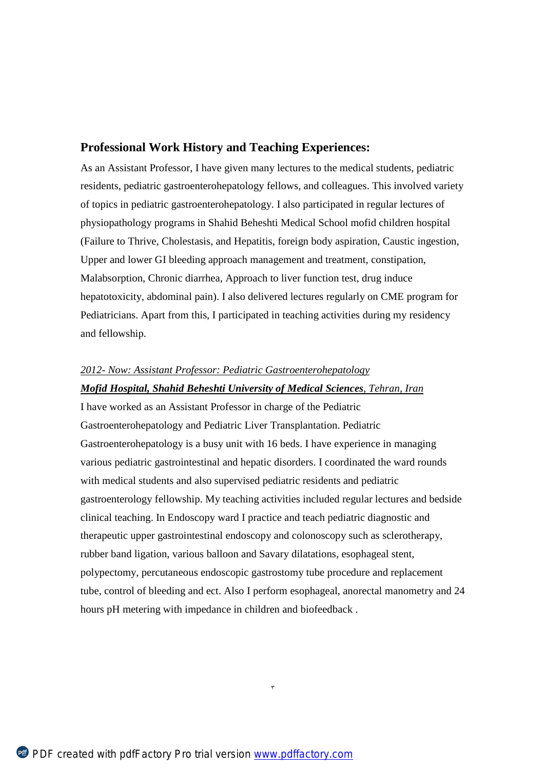### **Professional Work History and Teaching Experiences:**

As an Assistant Professor, I have given many lectures to the medical students, pediatric residents, pediatric gastroenterohepatology fellows, and colleagues. This involved variety of topics in pediatric gastroenterohepatology. I also participated in regular lectures of physiopathology programs in Shahid Beheshti Medical School mofid children hospital (Failure to Thrive, Cholestasis, and Hepatitis, foreign body aspiration, Caustic ingestion, Upper and lower GI bleeding approach management and treatment, constipation, Malabsorption, Chronic diarrhea, Approach to liver function test, drug induce hepatotoxicity, abdominal pain). I also delivered lectures regularly on CME program for Pediatricians. Apart from this, I participated in teaching activities during my residency and fellowship.

#### *2012- Now: Assistant Professor: Pediatric Gastroenterohepatology*

#### *Mofid Hospital, Shahid Beheshti University of Medical Sciences, Tehran, Iran*

I have worked as an Assistant Professor in charge of the Pediatric Gastroenterohepatology and Pediatric Liver Transplantation. Pediatric Gastroenterohepatology is a busy unit with 16 beds. I have experience in managing various pediatric gastrointestinal and hepatic disorders. I coordinated the ward rounds with medical students and also supervised pediatric residents and pediatric gastroenterology fellowship. My teaching activities included regular lectures and bedside clinical teaching. In Endoscopy ward I practice and teach pediatric diagnostic and therapeutic upper gastrointestinal endoscopy and colonoscopy such as sclerotherapy, rubber band ligation, various balloon and Savary dilatations, esophageal stent, polypectomy, percutaneous endoscopic gastrostomy tube procedure and replacement tube, control of bleeding and ect. Also I perform esophageal, anorectal manometry and 24 hours pH metering with impedance in children and biofeedback .

٣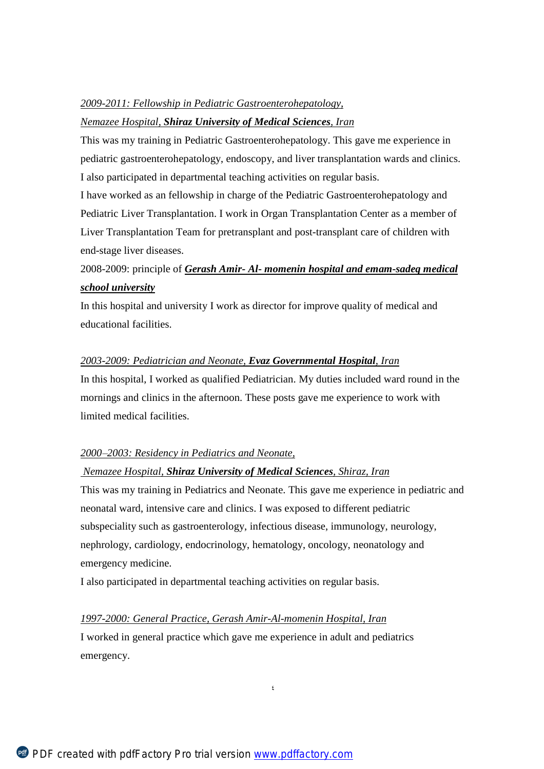#### *2009-2011: Fellowship in Pediatric Gastroenterohepatology,*

#### *Nemazee Hospital, Shiraz University of Medical Sciences, Iran*

This was my training in Pediatric Gastroenterohepatology. This gave me experience in pediatric gastroenterohepatology, endoscopy, and liver transplantation wards and clinics. I also participated in departmental teaching activities on regular basis.

I have worked as an fellowship in charge of the Pediatric Gastroenterohepatology and Pediatric Liver Transplantation. I work in Organ Transplantation Center as a member of Liver Transplantation Team for pretransplant and post-transplant care of children with end-stage liver diseases.

# 2008-2009: principle of *Gerash Amir- Al- momenin hospital and emam-sadeq medical school university*

In this hospital and university I work as director for improve quality of medical and educational facilities.

#### *2003-2009: Pediatrician and Neonate, Evaz Governmental Hospital, Iran*

In this hospital, I worked as qualified Pediatrician. My duties included ward round in the mornings and clinics in the afternoon. These posts gave me experience to work with limited medical facilities.

#### *2000–2003: Residency in Pediatrics and Neonate,*

#### *Nemazee Hospital, Shiraz University of Medical Sciences, Shiraz, Iran*

This was my training in Pediatrics and Neonate. This gave me experience in pediatric and neonatal ward, intensive care and clinics. I was exposed to different pediatric subspeciality such as gastroenterology, infectious disease, immunology, neurology, nephrology, cardiology, endocrinology, hematology, oncology, neonatology and emergency medicine.

٤

I also participated in departmental teaching activities on regular basis.

*1997-2000: General Practice, Gerash Amir-Al-momenin Hospital, Iran* I worked in general practice which gave me experience in adult and pediatrics emergency.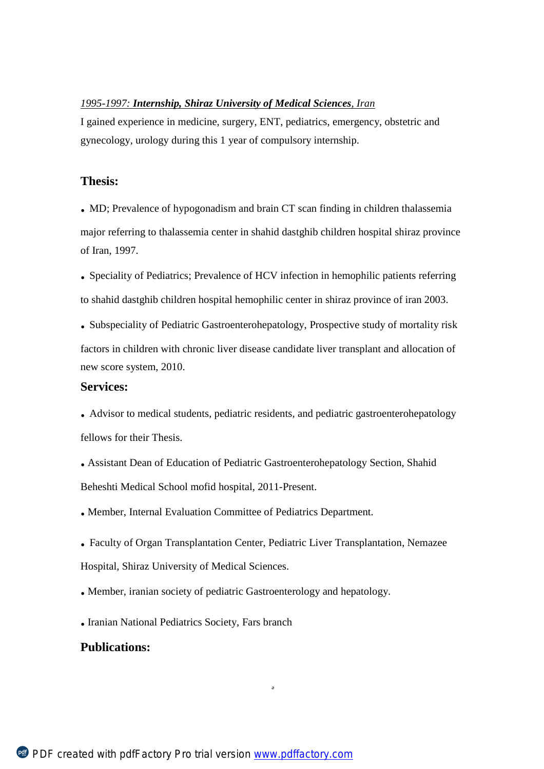#### *1995-1997: Internship, Shiraz University of Medical Sciences, Iran*

I gained experience in medicine, surgery, ENT, pediatrics, emergency, obstetric and gynecology, urology during this 1 year of compulsory internship.

### **Thesis:**

**.** MD; Prevalence of hypogonadism and brain CT scan finding in children thalassemia major referring to thalassemia center in shahid dastghib children hospital shiraz province of Iran, 1997.

**.** Speciality of Pediatrics; Prevalence of HCV infection in hemophilic patients referring to shahid dastghib children hospital hemophilic center in shiraz province of iran 2003.

**.** Subspeciality of Pediatric Gastroenterohepatology, Prospective study of mortality risk factors in children with chronic liver disease candidate liver transplant and allocation of new score system, 2010.

### **Services:**

**.** Advisor to medical students, pediatric residents, and pediatric gastroenterohepatology fellows for their Thesis.

**.** Assistant Dean of Education of Pediatric Gastroenterohepatology Section, Shahid Beheshti Medical School mofid hospital, 2011-Present.

**.** Member, Internal Evaluation Committee of Pediatrics Department.

**.** Faculty of Organ Transplantation Center, Pediatric Liver Transplantation, Nemazee Hospital, Shiraz University of Medical Sciences.

٥

**.** Member, iranian society of pediatric Gastroenterology and hepatology.

**.** Iranian National Pediatrics Society, Fars branch

# **Publications:**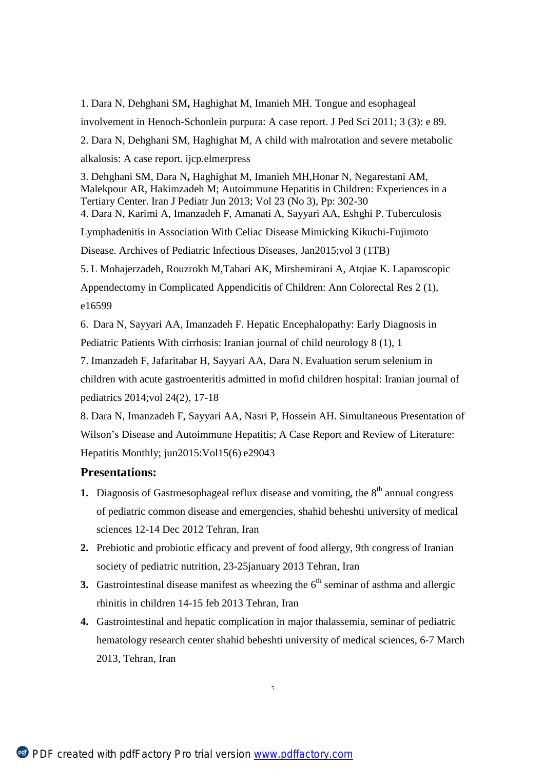1. Dara N, Dehghani SM**,** Haghighat M, Imanieh MH. Tongue and esophageal involvement in Henoch-Schonlein purpura: A case report. J Ped Sci 2011; 3 (3): e 89. 2. Dara N, Dehghani SM, Haghighat M, A child with malrotation and severe metabolic alkalosis: A case report. ijcp.elmerpress

3. Dehghani SM, Dara N**,** Haghighat M, Imanieh MH,Honar N, Negarestani AM, Malekpour AR, Hakimzadeh M; Autoimmune Hepatitis in Children: Experiences in a Tertiary Center. Iran J Pediatr Jun 2013; Vol 23 (No 3), Pp: 302-30

4. Dara N, Karimi A, Imanzadeh F, Amanati A, Sayyari AA, Eshghi P. Tuberculosis

Lymphadenitis in Association With Celiac Disease Mimicking Kikuchi-Fujimoto

Disease. Archives of Pediatric Infectious Diseases, Jan2015;vol 3 (1TB)

5. L Mohajerzadeh, Rouzrokh M,Tabari AK, Mirshemirani A, Atqiae K. Laparoscopic

Appendectomy in Complicated Appendicitis of Children: Ann Colorectal Res 2 (1), e16599

6.*8*Dara N, Sayyari AA, Imanzadeh F. Hepatic Encephalopathy: Early Diagnosis in Pediatric Patients With cirrhosis: Iranian journal of child neurology 8 (1), 1

7. Imanzadeh F, Jafaritabar H, Sayyari AA, Dara N. Evaluation serum selenium in children with acute gastroenteritis admitted in mofid children hospital: Iranian journal of pediatrics 2014;vol 24(2), 17-18

8. Dara N, Imanzadeh F, Sayyari AA, Nasri P, Hossein AH. Simultaneous Presentation of Wilson's Disease and Autoimmune Hepatitis; A Case Report and Review of Literature: Hepatitis Monthly; jun2015:Vol15(6) e29043

# **Presentations:**

- **1.** Diagnosis of Gastroesophageal reflux disease and vomiting, the  $8<sup>th</sup>$  annual congress of pediatric common disease and emergencies, shahid beheshti university of medical sciences 12-14 Dec 2012 Tehran, Iran
- **2.** Prebiotic and probiotic efficacy and prevent of food allergy, 9th congress of Iranian society of pediatric nutrition, 23-25 january 2013 Tehran, Iran
- **3.** Gastrointestinal disease manifest as wheezing the  $6<sup>th</sup>$  seminar of asthma and allergic rhinitis in children 14-15 feb 2013 Tehran, Iran
- **4.** Gastrointestinal and hepatic complication in major thalassemia, seminar of pediatric hematology research center shahid beheshti university of medical sciences, 6-7 March 2013, Tehran, Iran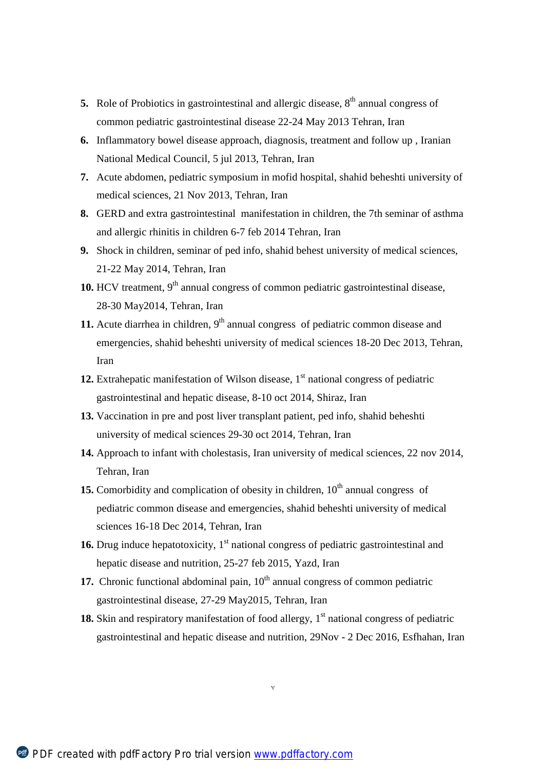- **5.** Role of Probiotics in gastrointestinal and allergic disease,  $8<sup>th</sup>$  annual congress of common pediatric gastrointestinal disease 22-24 May 2013 Tehran, Iran
- **6.** Inflammatory bowel disease approach, diagnosis, treatment and follow up , Iranian National Medical Council, 5 jul 2013, Tehran, Iran
- **7.** Acute abdomen, pediatric symposium in mofid hospital, shahid beheshti university of medical sciences, 21 Nov 2013, Tehran, Iran
- **8.** GERD and extra gastrointestinal manifestation in children, the 7th seminar of asthma and allergic rhinitis in children 6-7 feb 2014 Tehran, Iran
- **9.** Shock in children, seminar of ped info, shahid behest university of medical sciences, 21-22 May 2014, Tehran, Iran
- **10.** HCV treatment,  $9<sup>th</sup>$  annual congress of common pediatric gastrointestinal disease, 28-30 May2014, Tehran, Iran
- **11.** Acute diarrhea in children, 9<sup>th</sup> annual congress of pediatric common disease and emergencies, shahid beheshti university of medical sciences 18-20 Dec 2013, Tehran, Iran
- 12. Extrahepatic manifestation of Wilson disease,  $1<sup>st</sup>$  national congress of pediatric gastrointestinal and hepatic disease, 8-10 oct 2014, Shiraz, Iran
- **13.** Vaccination in pre and post liver transplant patient, ped info, shahid beheshti university of medical sciences 29-30 oct 2014, Tehran, Iran
- **14.** Approach to infant with cholestasis, Iran university of medical sciences, 22 nov 2014, Tehran, Iran
- **15.** Comorbidity and complication of obesity in children,  $10<sup>th</sup>$  annual congress of pediatric common disease and emergencies, shahid beheshti university of medical sciences 16-18 Dec 2014, Tehran, Iran
- **16.** Drug induce hepatotoxicity,  $1<sup>st</sup>$  national congress of pediatric gastrointestinal and hepatic disease and nutrition, 25-27 feb 2015, Yazd, Iran
- **17.** Chronic functional abdominal pain,  $10<sup>th</sup>$  annual congress of common pediatric gastrointestinal disease, 27-29 May2015, Tehran, Iran
- **18.** Skin and respiratory manifestation of food allergy,  $1<sup>st</sup>$  national congress of pediatric gastrointestinal and hepatic disease and nutrition, 29Nov - 2 Dec 2016, Esfhahan, Iran